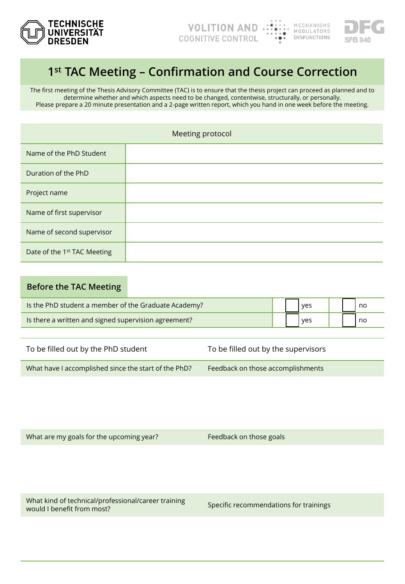



## **1st TAC Meeting – Confirmation and Course Correction**

The first meeting of the Thesis Advisory Committee (TAC) is to ensure that the thesis project can proceed as planned and to determine whether and which aspects need to be changed, contentwise, structurally, or personally. Please prepare a 20 minute presentation and a 2-page written report, which you hand in one week before the meeting.

| Meeting protocol            |  |  |
|-----------------------------|--|--|
| Name of the PhD Student     |  |  |
| Duration of the PhD         |  |  |
| Project name                |  |  |
| Name of first supervisor    |  |  |
| Name of second supervisor   |  |  |
| Date of the 1st TAC Meeting |  |  |

## **Before the TAC Meeting**

| Is the PhD student a member of the Graduate Academy? |  | ves |  | l no |
|------------------------------------------------------|--|-----|--|------|
| Is there a written and signed supervision agreement? |  | ves |  | l no |

| To be filled out by the PhD student                  | To be filled out by the supervisors |  |  |
|------------------------------------------------------|-------------------------------------|--|--|
| What have I accomplished since the start of the PhD? | Feedback on those accomplishments   |  |  |

What are my goals for the upcoming year? Feedback on those goals

What kind of technical/professional/career training what kind of technical professional career trainings<br>would I benefit from most?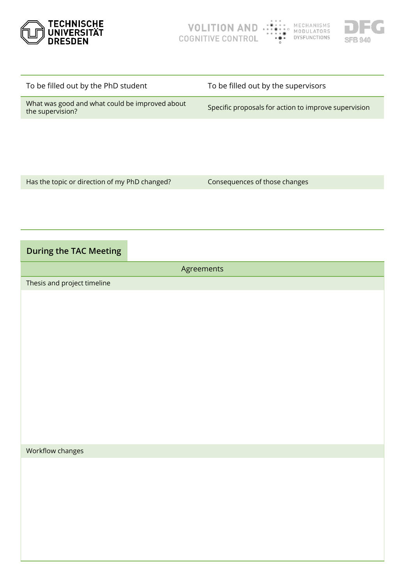



| To be filled out by the PhD student                                | To be filled out by the supervisors                  |
|--------------------------------------------------------------------|------------------------------------------------------|
| What was good and what could be improved about<br>the supervision? | Specific proposals for action to improve supervision |
|                                                                    |                                                      |
|                                                                    |                                                      |
|                                                                    |                                                      |
| Has the topic or direction of my PhD changed?                      | Consequences of those changes                        |

## **During the TAC Meeting**

Agreements Thesis and project timeline

Workflow changes